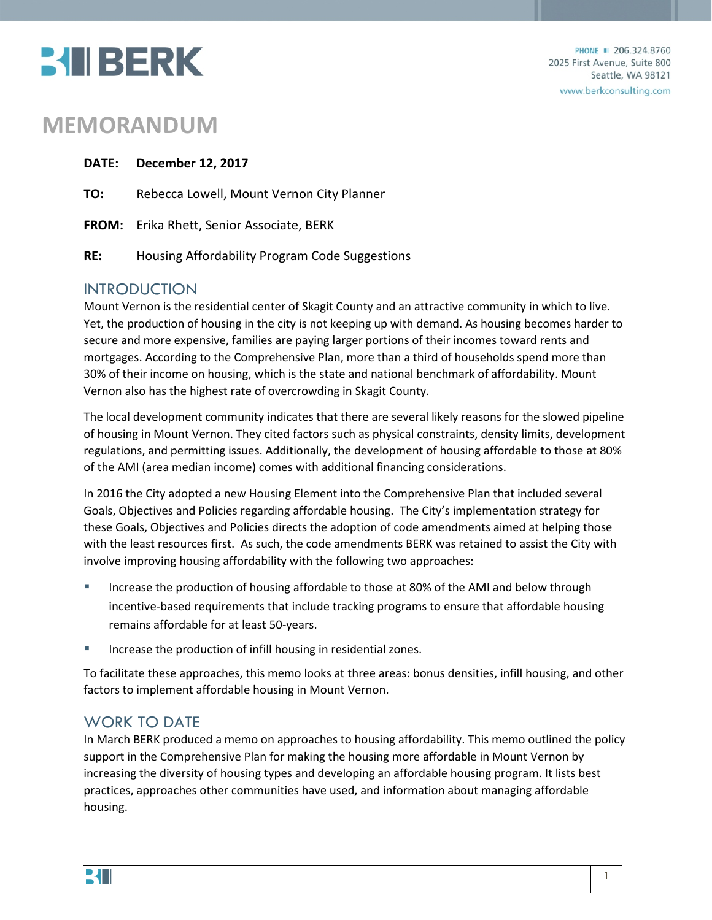

# **MEMORANDUM**

|     | DATE: December 12, 2017                          |
|-----|--------------------------------------------------|
| TO: | Rebecca Lowell, Mount Vernon City Planner        |
|     | <b>FROM:</b> Erika Rhett, Senior Associate, BERK |
| RE: | Housing Affordability Program Code Suggestions   |

## INTRODUCTION

Mount Vernon is the residential center of Skagit County and an attractive community in which to live. Yet, the production of housing in the city is not keeping up with demand. As housing becomes harder to secure and more expensive, families are paying larger portions of their incomes toward rents and mortgages. According to the Comprehensive Plan, more than a third of households spend more than 30% of their income on housing, which is the state and national benchmark of affordability. Mount Vernon also has the highest rate of overcrowding in Skagit County.

The local development community indicates that there are several likely reasons for the slowed pipeline of housing in Mount Vernon. They cited factors such as physical constraints, density limits, development regulations, and permitting issues. Additionally, the development of housing affordable to those at 80% of the AMI (area median income) comes with additional financing considerations.

In 2016 the City adopted a new Housing Element into the Comprehensive Plan that included several Goals, Objectives and Policies regarding affordable housing. The City's implementation strategy for these Goals, Objectives and Policies directs the adoption of code amendments aimed at helping those with the least resources first. As such, the code amendments BERK was retained to assist the City with involve improving housing affordability with the following two approaches:

- Increase the production of housing affordable to those at 80% of the AMI and below through incentive-based requirements that include tracking programs to ensure that affordable housing remains affordable for at least 50-years.
- Increase the production of infill housing in residential zones.

To facilitate these approaches, this memo looks at three areas: bonus densities, infill housing, and other factors to implement affordable housing in Mount Vernon.

## WORK TO DATE

In March BERK produced a memo on approaches to housing affordability. This memo outlined the policy support in the Comprehensive Plan for making the housing more affordable in Mount Vernon by increasing the diversity of housing types and developing an affordable housing program. It lists best practices, approaches other communities have used, and information about managing affordable housing.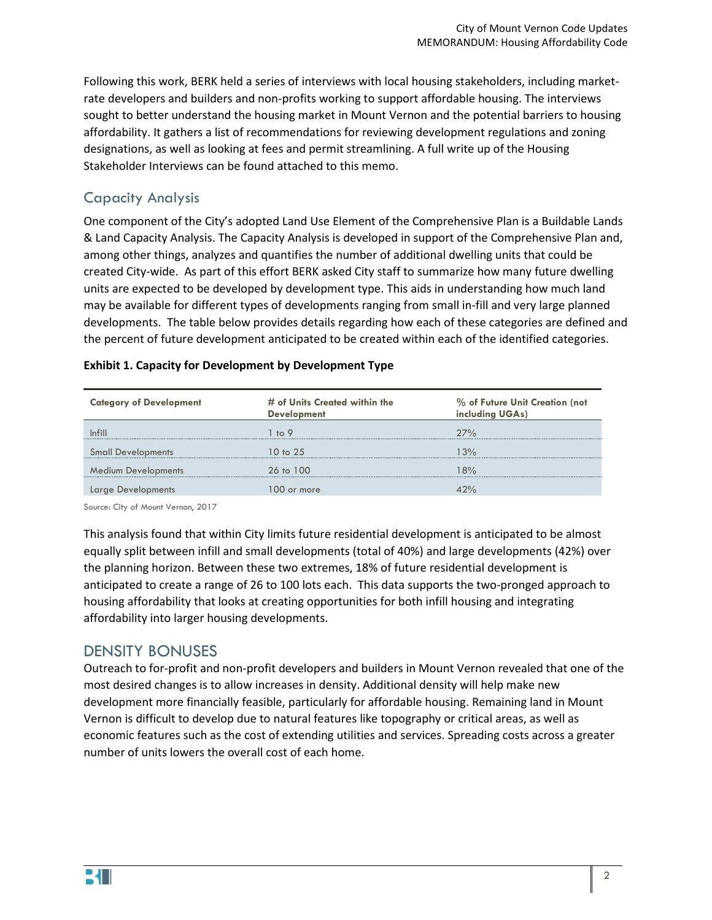Following this work, BERK held a series of interviews with local housing stakeholders, including marketrate developers and builders and non-profits working to support affordable housing. The interviews sought to better understand the housing market in Mount Vernon and the potential barriers to housing affordability. It gathers a list of recommendations for reviewing development regulations and zoning designations, as well as looking at fees and permit streamlining. A full write up of the Housing Stakeholder Interviews can be found attached to this memo.

## Capacity Analysis

One component of the City's adopted Land Use Element of the Comprehensive Plan is a Buildable Lands & Land Capacity Analysis. The Capacity Analysis is developed in support of the Comprehensive Plan and, among other things, analyzes and quantifies the number of additional dwelling units that could be created City-wide. As part of this effort BERK asked City staff to summarize how many future dwelling units are expected to be developed by development type. This aids in understanding how much land may be available for different types of developments ranging from small in-fill and very large planned developments. The table below provides details regarding how each of these categories are defined and the percent of future development anticipated to be created within each of the identified categories.

#### **Exhibit 1. Capacity for Development by Development Type**

| <b>Category of Development</b> | # of Units Created within the<br><b>Development</b> | % of Future Unit Creation (not<br>including UGAs) |
|--------------------------------|-----------------------------------------------------|---------------------------------------------------|
|                                | $\pm 6.9$                                           | 27%                                               |
| <b>Small Developments</b>      | 10 to 25                                            | 3%                                                |
| <b>Medium Developments</b>     | 26 to 100                                           | $8\%$                                             |
|                                | or more                                             |                                                   |

Source: City of Mount Vernon, 2017

This analysis found that within City limits future residential development is anticipated to be almost equally split between infill and small developments (total of 40%) and large developments (42%) over the planning horizon. Between these two extremes, 18% of future residential development is anticipated to create a range of 26 to 100 lots each. This data supports the two-pronged approach to housing affordability that looks at creating opportunities for both infill housing and integrating affordability into larger housing developments.

## DENSITY BONUSES

Outreach to for-profit and non-profit developers and builders in Mount Vernon revealed that one of the most desired changes is to allow increases in density. Additional density will help make new development more financially feasible, particularly for affordable housing. Remaining land in Mount Vernon is difficult to develop due to natural features like topography or critical areas, as well as economic features such as the cost of extending utilities and services. Spreading costs across a greater number of units lowers the overall cost of each home.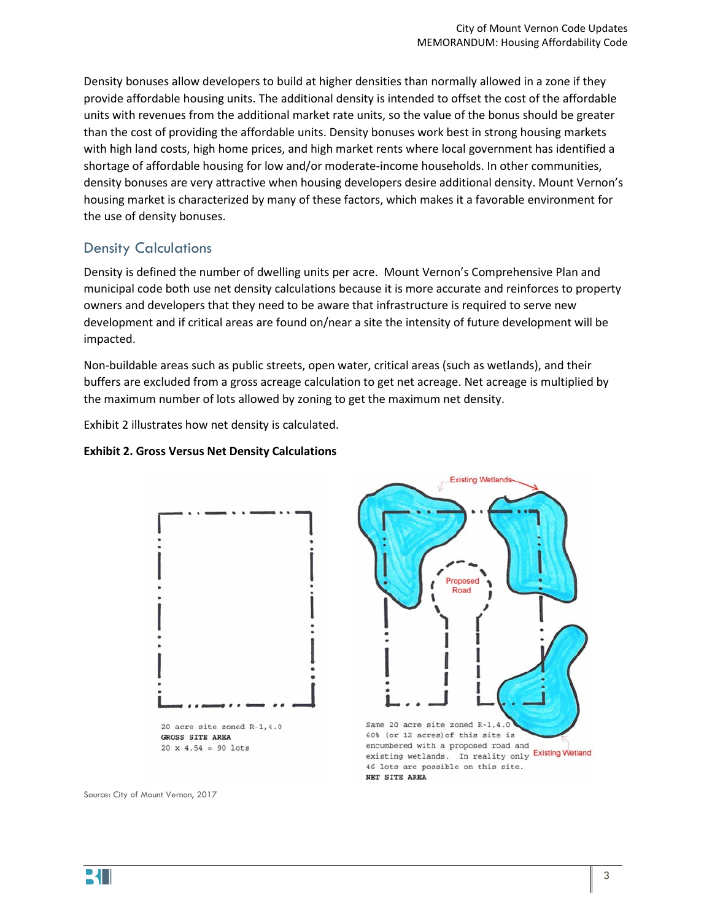Density bonuses allow developers to build at higher densities than normally allowed in a zone if they provide affordable housing units. The additional density is intended to offset the cost of the affordable units with revenues from the additional market rate units, so the value of the bonus should be greater than the cost of providing the affordable units. Density bonuses work best in strong housing markets with high land costs, high home prices, and high market rents where local government has identified a shortage of affordable housing for low and/or moderate-income households. In other communities, density bonuses are very attractive when housing developers desire additional density. Mount Vernon's housing market is characterized by many of these factors, which makes it a favorable environment for the use of density bonuses.

## Density Calculations

Density is defined the number of dwelling units per acre. Mount Vernon's Comprehensive Plan and municipal code both use net density calculations because it is more accurate and reinforces to property owners and developers that they need to be aware that infrastructure is required to serve new development and if critical areas are found on/near a site the intensity of future development will be impacted.

Non-buildable areas such as public streets, open water, critical areas (such as wetlands), and their buffers are excluded from a gross acreage calculation to get net acreage. Net acreage is multiplied by the maximum number of lots allowed by zoning to get the maximum net density[.](#page-2-0) 

[Exhibit 2](#page-2-0) illustrates how net density is calculated.

#### **Exhibit 2. Gross Versus Net Density Calculations**



<span id="page-2-0"></span>

Source: City of Mount Vernon, 2017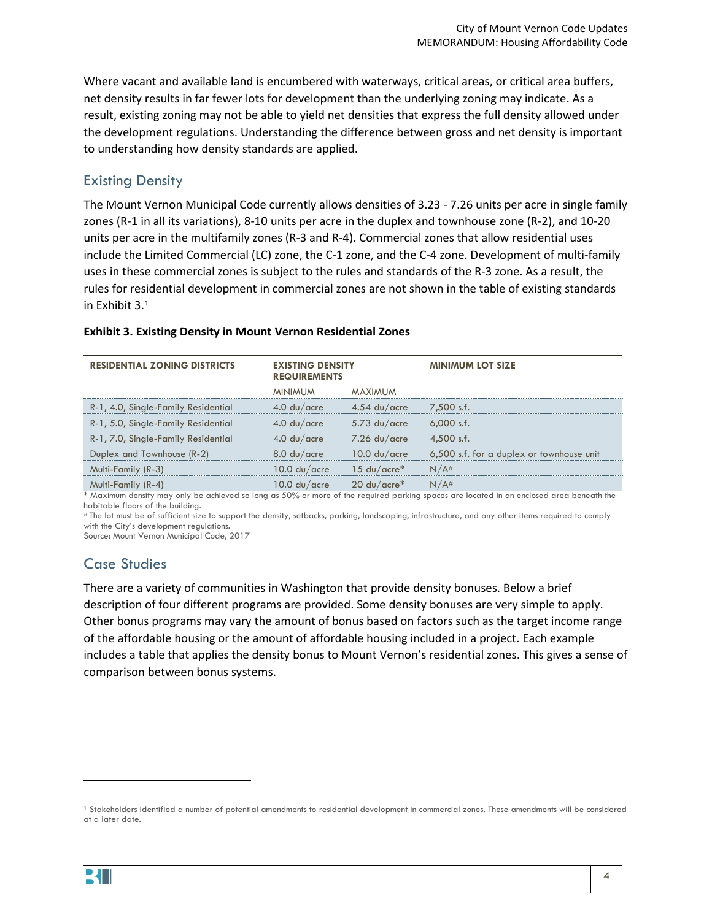Where vacant and available land is encumbered with waterways, critical areas, or critical area buffers, net density results in far fewer lots for development than the underlying zoning may indicate. As a result, existing zoning may not be able to yield net densities that express the full density allowed under the development regulations. Understanding the difference between gross and net density is important to understanding how density standards are applied.

## Existing Density

The Mount Vernon Municipal Code currently allows densities of 3.23 - 7.26 units per acre in single family zones (R-1 in all its variations), 8-10 units per acre in the duplex and townhouse zone (R-2), and 10-20 units per acre in the multifamily zones (R-3 and R-4). Commercial zones that allow residential uses include the Limited Commercial (LC) zone, the C-1 zone, and the C-4 zone. Development of multi-family uses in these commercial zones is subject to the rules and standards of the R-3 zone. As a result, the rules for residential development in commercial zones are not shown in the table of existing standards in [Exhibit 3.](#page-3-0) [1](#page-3-1)

| <b>RESIDENTIAL ZONING DISTRICTS</b> | <b>EXISTING DENSITY</b><br><b>REQUIREMENTS</b>  |                                          | <b>MINIMUM LOT SIZE</b>                   |
|-------------------------------------|-------------------------------------------------|------------------------------------------|-------------------------------------------|
|                                     | <b>MINIMUM</b>                                  | MAXIMUM                                  |                                           |
| R-1, 4.0, Single-Family Residential | $4.0$ du/acre                                   | $4.54 \text{ du}/\text{acre}$ 7.500 s.f. |                                           |
| R-1, 5.0, Single-Family Residential | $4.0$ du/acre                                   | $5.73$ du/acre                           | $6.000$ s.f.                              |
| R-1, 7.0, Single-Family Residential | $4.0 \mathrm{du/}$ acre                         | $-7.26$ du/acre                          | $4.500$ s.f.                              |
| Duplex and Townhouse (R-2)          | $8.0$ du/acre                                   | $10.0 \mathrm{du}/\mathrm{acre}$         | 6,500 s.f. for a duplex or townhouse unit |
| Multi-Family (R-3)                  | $10.0 \mathrm{du/acre} = 15 \mathrm{du/acre}^*$ |                                          | N/A#                                      |
| Multi-Family (R-4)                  | 10.0 du/acre l                                  | $20 \text{ du}/\text{acre}^*$            |                                           |

#### <span id="page-3-0"></span>**Exhibit 3. Existing Density in Mount Vernon Residential Zones**

\* Maximum density may only be achieved so long as 50% or more of the required parking spaces are located in an enclosed area beneath the habitable floors of the building.

# The lot must be of sufficient size to support the density, setbacks, parking, landscaping, infrastructure, and any other items required to comply with the City's development regulations.

Source: Mount Vernon Municipal Code, 2017

## Case Studies

There are a variety of communities in Washington that provide density bonuses. Below a brief description of four different programs are provided. Some density bonuses are very simple to apply. Other bonus programs may vary the amount of bonus based on factors such as the target income range of the affordable housing or the amount of affordable housing included in a project. Each example includes a table that applies the density bonus to Mount Vernon's residential zones. This gives a sense of comparison between bonus systems.

l

<span id="page-3-1"></span><sup>1</sup> Stakeholders identified a number of potential amendments to residential development in commercial zones. These amendments will be considered at a later date.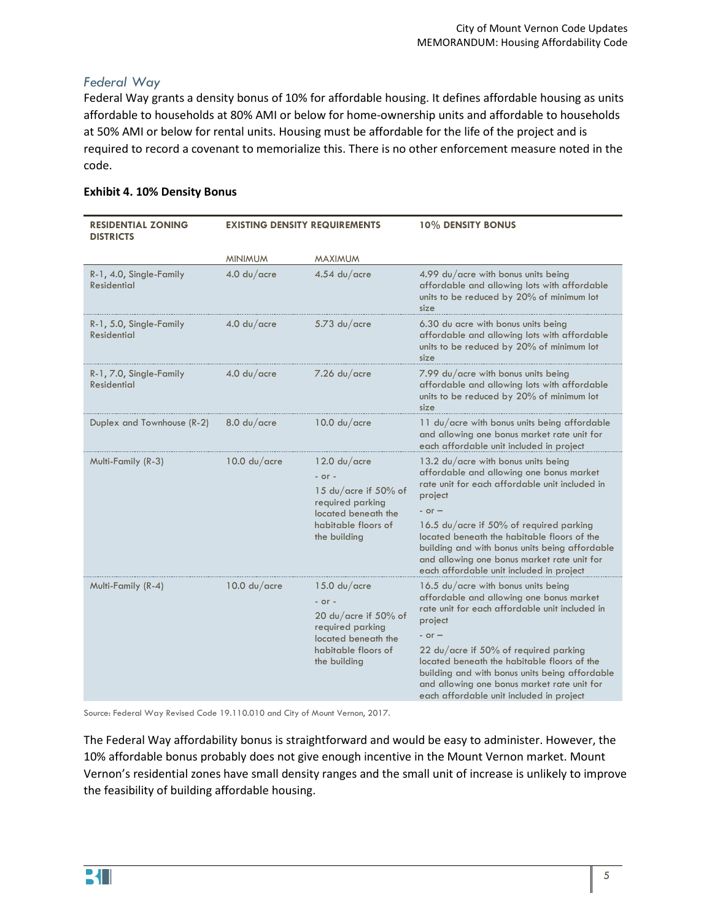#### *Federal Way*

Federal Way grants a density bonus of 10% for affordable housing. It defines affordable housing as units affordable to households at 80% AMI or below for home-ownership units and affordable to households at 50% AMI or below for rental units. Housing must be affordable for the life of the project and is required to record a covenant to memorialize this. There is no other enforcement measure noted in the code.

#### **Exhibit 4. 10% Density Bonus**

| <b>RESIDENTIAL ZONING</b><br><b>DISTRICTS</b> | <b>EXISTING DENSITY REQUIREMENTS</b>   |                                                                                                                                                                | 10% DENSITY BONUS                                                                                                                                                                                                                                                                                                                                                                                                                                             |
|-----------------------------------------------|----------------------------------------|----------------------------------------------------------------------------------------------------------------------------------------------------------------|---------------------------------------------------------------------------------------------------------------------------------------------------------------------------------------------------------------------------------------------------------------------------------------------------------------------------------------------------------------------------------------------------------------------------------------------------------------|
|                                               | <b>MINIMUM</b>                         | <b>MAXIMUM</b>                                                                                                                                                 |                                                                                                                                                                                                                                                                                                                                                                                                                                                               |
| R-1, 4.0, Single-Family<br><b>Residential</b> | 4.0 du/acre                            | $4.54$ du/acre                                                                                                                                                 | 4.99 du/acre with bonus units being<br>affordable and allowing lots with affordable<br>units to be reduced by 20% of minimum lot<br>size                                                                                                                                                                                                                                                                                                                      |
| R-1, 5.0, Single-Family<br><b>Residential</b> | $4.0$ du/acre                          | $5.73$ du/acre                                                                                                                                                 | 6.30 du acre with bonus units being<br>affordable and allowing lots with affordable<br>units to be reduced by 20% of minimum lot<br>size                                                                                                                                                                                                                                                                                                                      |
| R-1, 7.0, Single-Family<br><b>Residential</b> | $4.0$ du/acre                          | $7.26$ du/acre                                                                                                                                                 | 7.99 du/acre with bonus units being<br>affordable and allowing lots with affordable<br>units to be reduced by 20% of minimum lot<br>size                                                                                                                                                                                                                                                                                                                      |
| Duplex and Townhouse (R-2)                    | 8.0 d <sub>v</sub> /c <sub>c</sub>     | 10.0 d <sub>U</sub> /c <sub>circ</sub>                                                                                                                         | 11 du/acre with bonus units being affordable<br>and allowing one bonus market rate unit for<br>each affordable unit included in project                                                                                                                                                                                                                                                                                                                       |
| Multi-Family (R-3)                            | 10.0 d <sub>U</sub> /c <sub>circ</sub> | 12.0 d <sub>U</sub> /c <sub>circ</sub><br>$-$ or $-$<br>15 du/acre if 50% of<br>required parking<br>located beneath the<br>habitable floors of<br>the building | 13.2 du/acre with bonus units being<br>affordable and allowing one bonus market<br>rate unit for each affordable unit included in<br>project<br>$-$ or $-$<br>16.5 du/acre if 50% of required parking<br>located beneath the habitable floors of the<br>building and with bonus units being affordable<br>and allowing one bonus market rate unit for                                                                                                         |
| Multi-Family (R-4)                            | 10.0 d <sub>U</sub> /c <sub>circ</sub> | 15.0 du/acre<br>$-$ or $-$<br>20 du/acre if $50\%$ of<br>required parking<br>located beneath the<br>habitable floors of<br>the building                        | each affordable unit included in project<br>16.5 $du/ace$ with bonus units being<br>affordable and allowing one bonus market<br>rate unit for each affordable unit included in<br>project<br>$-$ or $-$<br>$22 \text{ du}/\text{acre}$ if 50% of required parking<br>located beneath the habitable floors of the<br>building and with bonus units being affordable<br>and allowing one bonus market rate unit for<br>each affordable unit included in project |

Source: Federal Way Revised Code 19.110.010 and City of Mount Vernon, 2017.

The Federal Way affordability bonus is straightforward and would be easy to administer. However, the 10% affordable bonus probably does not give enough incentive in the Mount Vernon market. Mount Vernon's residential zones have small density ranges and the small unit of increase is unlikely to improve the feasibility of building affordable housing.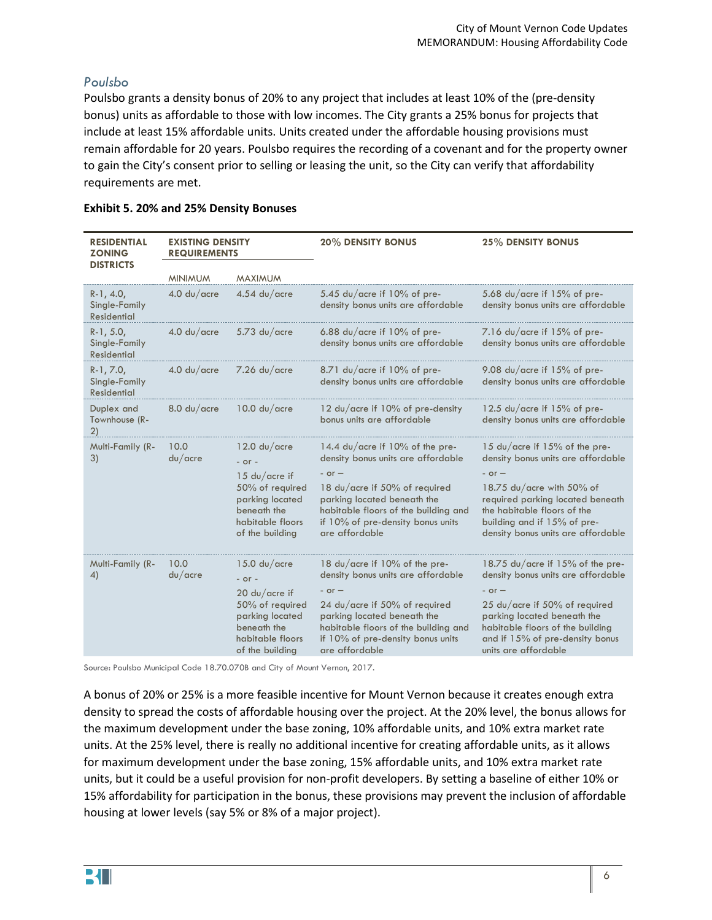#### *Poulsbo*

Poulsbo grants a density bonus of 20% to any project that includes at least 10% of the (pre-density bonus) units as affordable to those with low incomes. The City grants a 25% bonus for projects that include at least 15% affordable units. Units created under the affordable housing provisions must remain affordable for 20 years. Poulsbo requires the recording of a covenant and for the property owner to gain the City's consent prior to selling or leasing the unit, so the City can verify that affordability requirements are met.

| <b>RESIDENTIAL</b><br><b>ZONING</b><br><b>DISTRICTS</b> | <b>EXISTING DENSITY</b><br><b>REQUIREMENTS</b> |                                                                                                             | <b>20% DENSITY BONUS</b>                                                                                                                                                  | <b>25% DENSITY BONUS</b>                                                                                                                                                  |
|---------------------------------------------------------|------------------------------------------------|-------------------------------------------------------------------------------------------------------------|---------------------------------------------------------------------------------------------------------------------------------------------------------------------------|---------------------------------------------------------------------------------------------------------------------------------------------------------------------------|
|                                                         | <b>MINIMUM</b>                                 | <b>MAXIMUM</b>                                                                                              |                                                                                                                                                                           |                                                                                                                                                                           |
| $R-1, 4.0,$<br>Single-Family<br><b>Residential</b>      | $4.0$ du/acre                                  | 4.54 $du/acre$                                                                                              | 5.45 $du$ / acre if 10% of pre-<br>density bonus units are affordable                                                                                                     | 5.68 $du/acre$ if 15% of pre-<br>density bonus units are affordable                                                                                                       |
| $R-1, 5.0,$<br>Single-Family<br><b>Residential</b>      | $4.0$ du/acre                                  | $5.73$ du/acre                                                                                              | 6.88 $du/a$ cre if $10\%$ of pre-<br>density bonus units are affordable                                                                                                   | 7.16 du/acre if 15% of pre-<br>density bonus units are affordable                                                                                                         |
| $R-1, 7.0,$<br>Single-Family<br>Residential             | $4.0$ du/acre                                  | $7.26$ du/acre                                                                                              | 8.71 $du$ /acre if 10% of pre-<br>density bonus units are affordable                                                                                                      | 9.08 $du/a$ cre if $15%$ of pre-<br>density bonus units are affordable                                                                                                    |
| Duplex and<br>Townhouse (R-<br>2)                       | 8.0 d <sub>U</sub> /c <sub>circ</sub>          | 10.0 d <sub>U</sub> /c <sub>circ</sub>                                                                      | 12 du/acre if 10% of pre-density<br>bonus units are affordable                                                                                                            | 12.5 $du$ /acre if 15% of pre-<br>density bonus units are affordable                                                                                                      |
| Multi-Family (R-<br>3)                                  | 10.0<br>du/acre                                | 12.0 d <sub>U</sub> /c <sub>circ</sub><br>$-$ or $-$                                                        | 14.4 $du/ac$ re if 10% of the pre-<br>density bonus units are affordable<br>$-$ or $-$                                                                                    | 15 $du/ac$ re if 15% of the pre-<br>density bonus units are affordable<br>$-$ or $-$                                                                                      |
|                                                         |                                                | 15 du/acre if<br>50% of required<br>parking located<br>beneath the<br>habitable floors<br>of the building   | 18 du/acre if 50% of required<br>parking located beneath the<br>habitable floors of the building and<br>if 10% of pre-density bonus units<br>are affordable               | 18.75 $du/a$ cre with 50% of<br>required parking located beneath<br>the habitable floors of the<br>building and if 15% of pre-<br>density bonus units are affordable      |
| Multi-Family (R-<br>4)                                  | 10.0<br>du/acre                                | 15.0 d <sub>U</sub> /c <sub>circ</sub><br>$-$ or $-$                                                        | 18 du/acre if 10% of the pre-<br>density bonus units are affordable                                                                                                       | 18.75 du/acre if 15% of the pre-<br>density bonus units are affordable                                                                                                    |
|                                                         |                                                | $20$ du/acre if<br>50% of required<br>parking located<br>beneath the<br>habitable floors<br>of the building | $-$ or $-$<br>24 du/acre if 50% of required<br>parking located beneath the<br>habitable floors of the building and<br>if 10% of pre-density bonus units<br>are affordable | $-$ or $-$<br>25 du/acre if 50% of required<br>parking located beneath the<br>habitable floors of the building<br>and if 15% of pre-density bonus<br>units are affordable |

#### **Exhibit 5. 20% and 25% Density Bonuses**

Source: Poulsbo Municipal Code 18.70.070B and City of Mount Vernon, 2017.

A bonus of 20% or 25% is a more feasible incentive for Mount Vernon because it creates enough extra density to spread the costs of affordable housing over the project. At the 20% level, the bonus allows for the maximum development under the base zoning, 10% affordable units, and 10% extra market rate units. At the 25% level, there is really no additional incentive for creating affordable units, as it allows for maximum development under the base zoning, 15% affordable units, and 10% extra market rate units, but it could be a useful provision for non-profit developers. By setting a baseline of either 10% or 15% affordability for participation in the bonus, these provisions may prevent the inclusion of affordable housing at lower levels (say 5% or 8% of a major project).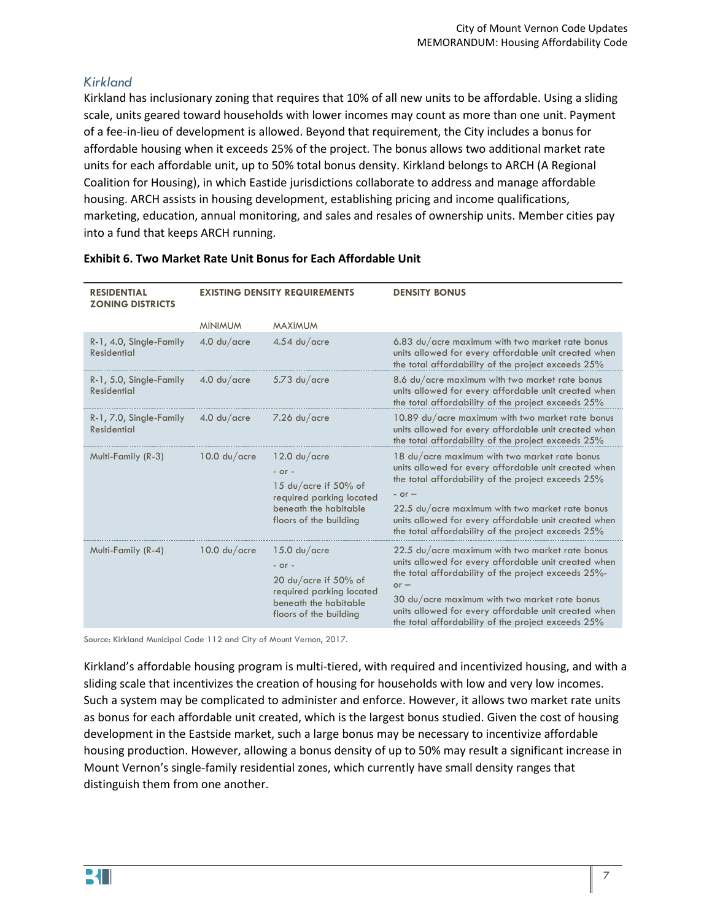## *Kirkland*

Kirkland has inclusionary zoning that requires that 10% of all new units to be affordable. Using a sliding scale, units geared toward households with lower incomes may count as more than one unit. Payment of a fee-in-lieu of development is allowed. Beyond that requirement, the City includes a bonus for affordable housing when it exceeds 25% of the project. The bonus allows two additional market rate units for each affordable unit, up to 50% total bonus density. Kirkland belongs to ARCH (A Regional Coalition for Housing), in which Eastide jurisdictions collaborate to address and manage affordable housing. ARCH assists in housing development, establishing pricing and income qualifications, marketing, education, annual monitoring, and sales and resales of ownership units. Member cities pay into a fund that keeps ARCH running.

| <b>RESIDENTIAL</b><br><b>ZONING DISTRICTS</b> | <b>EXISTING DENSITY REQUIREMENTS</b> |                                                                                                                                                                | <b>DENSITY BONUS</b>                                                                                                                                                                                                                                                                                                                                       |
|-----------------------------------------------|--------------------------------------|----------------------------------------------------------------------------------------------------------------------------------------------------------------|------------------------------------------------------------------------------------------------------------------------------------------------------------------------------------------------------------------------------------------------------------------------------------------------------------------------------------------------------------|
|                                               | <b>MINIMUM</b>                       | <b>MAXIMUM</b>                                                                                                                                                 |                                                                                                                                                                                                                                                                                                                                                            |
| R-1, 4.0, Single-Family<br><b>Residential</b> | $4.0$ du/acre                        | $4.54$ du/acre                                                                                                                                                 | 6.83 du/acre maximum with two market rate bonus<br>units allowed for every affordable unit created when<br>the total affordability of the project exceeds 25%                                                                                                                                                                                              |
| R-1, 5.0, Single-Family<br><b>Residential</b> | $4.0$ du/acre                        | $5.73$ du/acre                                                                                                                                                 | 8.6 du/acre maximum with two market rate bonus<br>units allowed for every affordable unit created when<br>the total affordability of the project exceeds 25%                                                                                                                                                                                               |
| R-1, 7.0, Single-Family<br><b>Residential</b> | $4.0$ du/acre                        | $7.26$ du/acre                                                                                                                                                 | 10.89 du/acre maximum with two market rate bonus<br>units allowed for every affordable unit created when<br>the total affordability of the project exceeds 25%                                                                                                                                                                                             |
| Multi-Family (R-3)                            | $10.0$ du/acre                       | 12.0 d <sub>U</sub> /c <sub>circ</sub><br>$-$ or $-$<br>15 du/acre if 50% of<br>required parking located<br>beneath the habitable<br>floors of the building    | 18 du/acre maximum with two market rate bonus<br>units allowed for every affordable unit created when<br>the total affordability of the project exceeds 25%<br>$-$ or $-$<br>22.5 du/acre maximum with two market rate bonus<br>units allowed for every affordable unit created when<br>the total affordability of the project exceeds 25%                 |
| Multi-Family (R-4)                            | $10.0 d\nu/acre$                     | 15.0 d <sub>U</sub> /c <sub>core</sub><br>$-$ or $-$<br>20 du/acre if $50\%$ of<br>required parking located<br>beneath the habitable<br>floors of the building | 22.5 du/acre maximum with two market rate bonus<br>units allowed for every affordable unit created when<br>the total affordability of the project exceeds 25%-<br>$or -$<br>$30 \, \text{du}/\text{acre}$ maximum with two market rate bonus<br>units allowed for every affordable unit created when<br>the total affordability of the project exceeds 25% |

#### **Exhibit 6. Two Market Rate Unit Bonus for Each Affordable Unit**

Source: Kirkland Municipal Code 112 and City of Mount Vernon, 2017.

Kirkland's affordable housing program is multi-tiered, with required and incentivized housing, and with a sliding scale that incentivizes the creation of housing for households with low and very low incomes. Such a system may be complicated to administer and enforce. However, it allows two market rate units as bonus for each affordable unit created, which is the largest bonus studied. Given the cost of housing development in the Eastside market, such a large bonus may be necessary to incentivize affordable housing production. However, allowing a bonus density of up to 50% may result a significant increase in Mount Vernon's single-family residential zones, which currently have small density ranges that distinguish them from one another.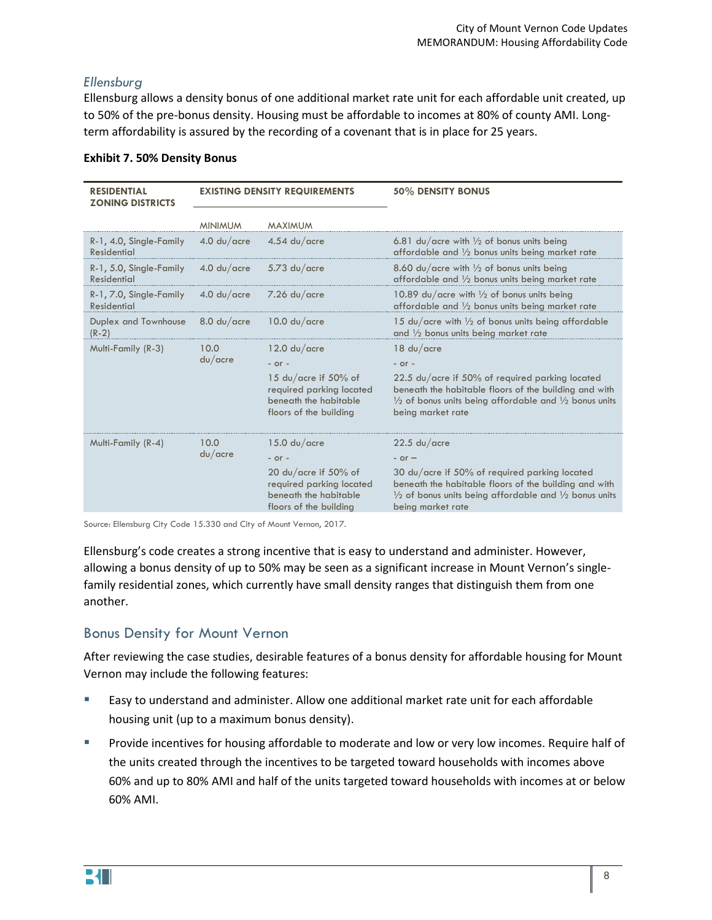#### *Ellensburg*

Ellensburg allows a density bonus of one additional market rate unit for each affordable unit created, up to 50% of the pre-bonus density. Housing must be affordable to incomes at 80% of county AMI. Longterm affordability is assured by the recording of a covenant that is in place for 25 years.

| <b>RESIDENTIAL</b><br><b>ZONING DISTRICTS</b> | <b>EXISTING DENSITY REQUIREMENTS</b> |                                                                                                        | 50% DENSITY BONUS                                                                                                                                                                                             |  |
|-----------------------------------------------|--------------------------------------|--------------------------------------------------------------------------------------------------------|---------------------------------------------------------------------------------------------------------------------------------------------------------------------------------------------------------------|--|
|                                               | <b>MINIMUM</b>                       | <b>MAXIMUM</b>                                                                                         |                                                                                                                                                                                                               |  |
| R-1, 4.0, Single-Family<br><b>Residential</b> | $4.0$ du/acre                        | $4.54$ du/acre                                                                                         | 6.81 du/acre with $\frac{1}{2}$ of bonus units being<br>affordable and 1/2 bonus units being market rate                                                                                                      |  |
| R-1, 5.0, Single-Family<br><b>Residential</b> | $4.0$ du/acre                        | $5.73$ du/acre                                                                                         | 8.60 du/acre with $\frac{1}{2}$ of bonus units being<br>affordable and $\frac{1}{2}$ bonus units being market rate                                                                                            |  |
| R-1, 7.0, Single-Family<br><b>Residential</b> | $4.0$ du/acre                        | $7.26$ du/acre                                                                                         | 10.89 du/acre with 1/2 of bonus units being<br>affordable and $\frac{1}{2}$ bonus units being market rate                                                                                                     |  |
| Duplex and Townhouse<br>$(R-2)$               | $8.0$ du/acre                        | 10.0 d <sub>U</sub> /c <sub>circ</sub>                                                                 | 15 du/acre with 1/2 of bonus units being affordable<br>and $\frac{1}{2}$ bonus units being market rate                                                                                                        |  |
| Multi-Family (R-3)                            | 10.0<br>du/acre                      | $12.0 \text{ du}/\text{acre}$                                                                          | $18$ du/acre                                                                                                                                                                                                  |  |
|                                               |                                      | $-$ or $-$                                                                                             | $-$ or $-$                                                                                                                                                                                                    |  |
|                                               |                                      | 15 du/acre if 50% of<br>required parking located<br>beneath the habitable<br>floors of the building    | 22.5 du/acre if 50% of required parking located<br>beneath the habitable floors of the building and with<br>$\frac{1}{2}$ of bonus units being affordable and $\frac{1}{2}$ bonus units<br>being market rate  |  |
| Multi-Family (R-4)                            | 10.0                                 | 15.0 d <sub>U</sub> /c <sub>circ</sub>                                                                 | $22.5$ du/acre                                                                                                                                                                                                |  |
|                                               | du/acre                              | $-$ or $-$                                                                                             | $-$ or $-$                                                                                                                                                                                                    |  |
|                                               |                                      | 20 du/acre if $50\%$ of<br>required parking located<br>beneath the habitable<br>floors of the building | 30 $du/ac$ re if 50% of required parking located<br>beneath the habitable floors of the building and with<br>$\frac{1}{2}$ of bonus units being affordable and $\frac{1}{2}$ bonus units<br>being market rate |  |

#### **Exhibit 7. 50% Density Bonus**

Source: Ellensburg City Code 15.330 and City of Mount Vernon, 2017.

Ellensburg's code creates a strong incentive that is easy to understand and administer. However, allowing a bonus density of up to 50% may be seen as a significant increase in Mount Vernon's singlefamily residential zones, which currently have small density ranges that distinguish them from one another.

## Bonus Density for Mount Vernon

After reviewing the case studies, desirable features of a bonus density for affordable housing for Mount Vernon may include the following features:

- Easy to understand and administer. Allow one additional market rate unit for each affordable housing unit (up to a maximum bonus density).
- Provide incentives for housing affordable to moderate and low or very low incomes. Require half of the units created through the incentives to be targeted toward households with incomes above 60% and up to 80% AMI and half of the units targeted toward households with incomes at or below 60% AMI.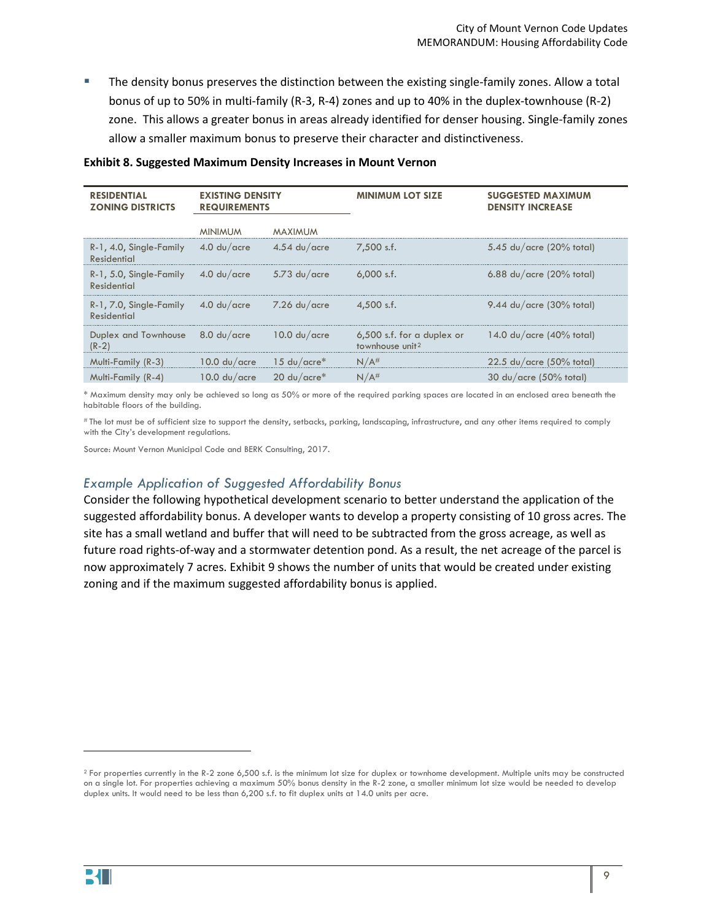The density bonus preserves the distinction between the existing single-family zones. Allow a total bonus of up to 50% in multi-family (R-3, R-4) zones and up to 40% in the duplex-townhouse (R-2) zone. This allows a greater bonus in areas already identified for denser housing. Single-family zones allow a smaller maximum bonus to preserve their character and distinctiveness.

| <b>RESIDENTIAL</b><br><b>ZONING DISTRICTS</b>                | <b>EXISTING DENSITY</b><br><b>REQUIREMENTS</b> |                               | <b>MINIMUM LOT SIZE</b>                                                                      | <b>SUGGESTED MAXIMUM</b><br><b>DENSITY INCREASE</b> |
|--------------------------------------------------------------|------------------------------------------------|-------------------------------|----------------------------------------------------------------------------------------------|-----------------------------------------------------|
|                                                              | <b>MINIMUM</b>                                 | MAXIMUM                       |                                                                                              |                                                     |
| $R-1$ , 4.0, Single-Family 4.0 du/acre<br>Residential        |                                                | $4.54$ du/acre                | $7.500$ s.f.                                                                                 | $5.45$ du/acre (20% total)                          |
| $R-1$ , 5.0, Single-Family $4.0$ du/acre<br>Residential      |                                                | $5.73$ du/acre                | $6.000$ s.f.                                                                                 | $6.88$ du/acre (20% total)                          |
| R-1, 7.0, Single-Family<br>Residential                       | $4.0 \mathrm{du}/\mathrm{acc}$ re              | $7.26 \text{ du/acre}$        | $4.500$ s.f.                                                                                 | $9.44$ du/acre (30% total)                          |
| Duplex and Townhouse $8.0 \text{ du}/\text{acre}$<br>$(R-2)$ |                                                | $10.0 \text{ du}/\text{acre}$ | 6,500 s.f. for a duplex or $14.0 \text{ du/acre}$ (40% total)<br>townhouse unit <sup>2</sup> |                                                     |
| Multi-Family (R-3)                                           | $10.0 \text{ du}/\text{acre}$                  | $15 \text{ du}/\text{acre}^*$ | $N/A$ #                                                                                      | $22.5$ du/acre (50% total)                          |
| Multi-Family (R-4)                                           | 10.0 $du/ace$ 20 $du/ace*$                     |                               | $N/A$ #                                                                                      | $30 \text{ du}/\text{acre}$ (50% total)             |

#### **Exhibit 8. Suggested Maximum Density Increases in Mount Vernon**

\* Maximum density may only be achieved so long as 50% or more of the required parking spaces are located in an enclosed area beneath the habitable floors of the building.

# The lot must be of sufficient size to support the density, setbacks, parking, landscaping, infrastructure, and any other items required to comply with the City's development regulations.

Source: Mount Vernon Municipal Code and BERK Consulting, 2017.

#### *Example Application of Suggested Affordability Bonus*

Consider the following hypothetical development scenario to better understand the application of the suggested affordability bonus. A developer wants to develop a property consisting of 10 gross acres. The site has a small wetland and buffer that will need to be subtracted from the gross acreage, as well as future road rights-of-way and a stormwater detention pond. As a result, the net acreage of the parcel is now approximately 7 acres[. Exhibit 9](#page-9-0) shows the number of units that would be created under existing zoning and if the maximum suggested affordability bonus is applied.

 $\overline{\phantom{a}}$ 

<span id="page-8-0"></span><sup>&</sup>lt;sup>2</sup> For properties currently in the R-2 zone 6,500 s.f. is the minimum lot size for duplex or townhome development. Multiple units may be constructed on a single lot. For properties achieving a maximum 50% bonus density in the R-2 zone, a smaller minimum lot size would be needed to develop duplex units. It would need to be less than 6,200 s.f. to fit duplex units at 14.0 units per acre.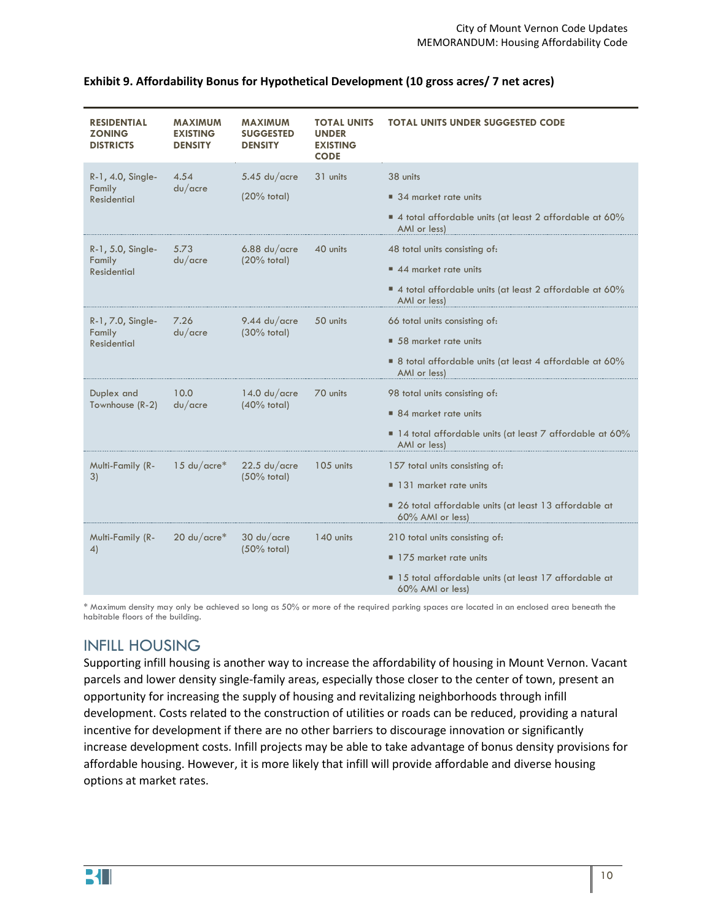| <b>MAXIMUM</b><br><b>EXISTING</b><br><b>DENSITY</b> | <b>MAXIMUM</b><br><b>SUGGESTED</b><br><b>DENSITY</b> | <b>TOTAL UNITS</b><br><b>UNDER</b><br><b>EXISTING</b><br><b>CODE</b> | <b>TOTAL UNITS UNDER SUGGESTED CODE</b>                                    |
|-----------------------------------------------------|------------------------------------------------------|----------------------------------------------------------------------|----------------------------------------------------------------------------|
| 4.54                                                | $5.45$ du/acre                                       | 31 units                                                             | 38 units                                                                   |
|                                                     | $(20%$ total)                                        |                                                                      | 34 market rate units                                                       |
|                                                     |                                                      |                                                                      | 4 total affordable units (at least 2 affordable at 60%<br>AMI or less)     |
| 5.73                                                | $6.88$ du/acre<br>$(20%$ total)                      | 40 units                                                             | 48 total units consisting of:                                              |
|                                                     |                                                      |                                                                      | 44 market rate units                                                       |
|                                                     |                                                      |                                                                      | 4 total affordable units (at least 2 affordable at 60%<br>AMI or less)     |
| 7.26                                                | 9.44 $du/$ acre                                      | 50 units                                                             | 66 total units consisting of:                                              |
|                                                     |                                                      |                                                                      | 58 market rate units                                                       |
|                                                     |                                                      |                                                                      | ■ 8 total affordable units (at least 4 affordable at 60%<br>AMI or less)   |
| 10.0                                                | $14.0 \text{ du}/\text{acre}$<br>$(40%$ total)       | 70 units                                                             | 98 total units consisting of:                                              |
|                                                     |                                                      |                                                                      | 84 market rate units                                                       |
|                                                     |                                                      |                                                                      | ■ 14 total affordable units (at least 7 affordable at 60%<br>AMI or less)  |
| $15 \ \mathsf{du}/\mathsf{acre}^*$                  | $22.5$ du/acre<br>$(50%$ total)                      | 105 units                                                            | 157 total units consisting of:                                             |
|                                                     |                                                      |                                                                      | 131 market rate units                                                      |
|                                                     |                                                      |                                                                      | • 26 total affordable units (at least 13 affordable at<br>60% AMI or less) |
| 20 $du/acre*$                                       | $30 \text{ du}/\text{acre}$<br>$(50%$ total)         | 140 units                                                            | 210 total units consisting of:                                             |
|                                                     |                                                      |                                                                      | 175 market rate units                                                      |
|                                                     |                                                      |                                                                      | ■ 15 total affordable units (at least 17 affordable at<br>60% AMI or less) |
|                                                     | du/acre<br>du/acre<br>du/acre<br>du/acre             | $(30%$ total)                                                        |                                                                            |

#### <span id="page-9-0"></span>**Exhibit 9. Affordability Bonus for Hypothetical Development (10 gross acres/ 7 net acres)**

\* Maximum density may only be achieved so long as 50% or more of the required parking spaces are located in an enclosed area beneath the habitable floors of the building.

## INFILL HOUSING

Supporting infill housing is another way to increase the affordability of housing in Mount Vernon. Vacant parcels and lower density single-family areas, especially those closer to the center of town, present an opportunity for increasing the supply of housing and revitalizing neighborhoods through infill development. Costs related to the construction of utilities or roads can be reduced, providing a natural incentive for development if there are no other barriers to discourage innovation or significantly increase development costs. Infill projects may be able to take advantage of bonus density provisions for affordable housing. However, it is more likely that infill will provide affordable and diverse housing options at market rates.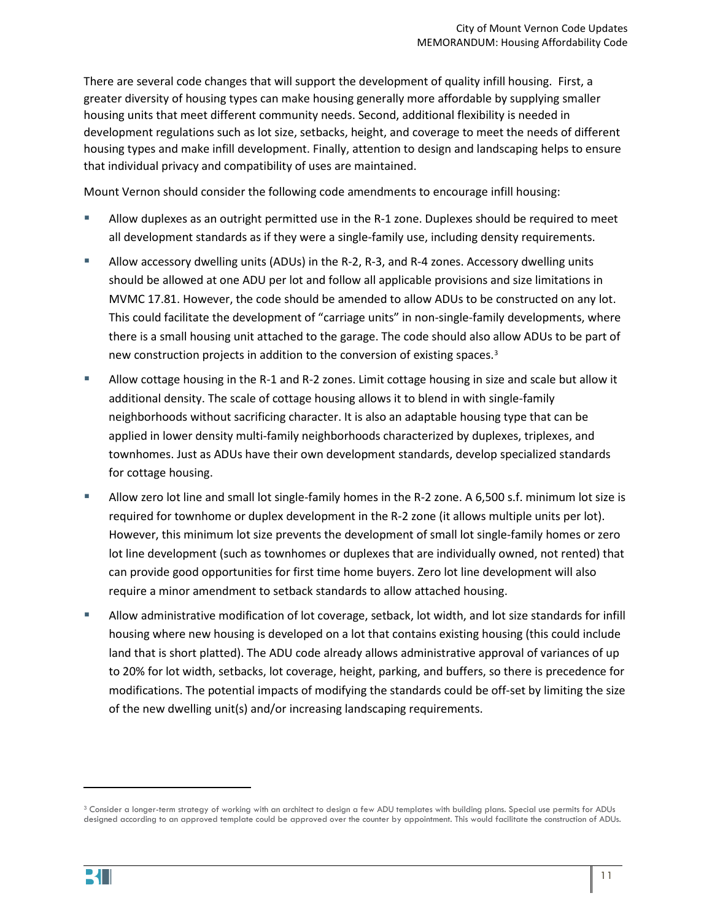There are several code changes that will support the development of quality infill housing. First, a greater diversity of housing types can make housing generally more affordable by supplying smaller housing units that meet different community needs. Second, additional flexibility is needed in development regulations such as lot size, setbacks, height, and coverage to meet the needs of different housing types and make infill development. Finally, attention to design and landscaping helps to ensure that individual privacy and compatibility of uses are maintained.

Mount Vernon should consider the following code amendments to encourage infill housing:

- Allow duplexes as an outright permitted use in the R-1 zone. Duplexes should be required to meet all development standards as if they were a single-family use, including density requirements.
- Allow accessory dwelling units (ADUs) in the R-2, R-3, and R-4 zones. Accessory dwelling units should be allowed at one ADU per lot and follow all applicable provisions and size limitations in MVMC 17.81. However, the code should be amended to allow ADUs to be constructed on any lot. This could facilitate the development of "carriage units" in non-single-family developments, where there is a small housing unit attached to the garage. The code should also allow ADUs to be part of new construction projects in addition to the conversion of existing spaces.<sup>[3](#page-10-0)</sup>
- Allow cottage housing in the R-1 and R-2 zones. Limit cottage housing in size and scale but allow it additional density. The scale of cottage housing allows it to blend in with single-family neighborhoods without sacrificing character. It is also an adaptable housing type that can be applied in lower density multi-family neighborhoods characterized by duplexes, triplexes, and townhomes. Just as ADUs have their own development standards, develop specialized standards for cottage housing.
- Allow zero lot line and small lot single-family homes in the R-2 zone. A 6,500 s.f. minimum lot size is required for townhome or duplex development in the R-2 zone (it allows multiple units per lot). However, this minimum lot size prevents the development of small lot single-family homes or zero lot line development (such as townhomes or duplexes that are individually owned, not rented) that can provide good opportunities for first time home buyers. Zero lot line development will also require a minor amendment to setback standards to allow attached housing.
- Allow administrative modification of lot coverage, setback, lot width, and lot size standards for infill housing where new housing is developed on a lot that contains existing housing (this could include land that is short platted). The ADU code already allows administrative approval of variances of up to 20% for lot width, setbacks, lot coverage, height, parking, and buffers, so there is precedence for modifications. The potential impacts of modifying the standards could be off-set by limiting the size of the new dwelling unit(s) and/or increasing landscaping requirements.

<span id="page-10-0"></span><sup>&</sup>lt;sup>3</sup> Consider a longer-term strategy of working with an architect to design a few ADU templates with building plans. Special use permits for ADUs designed according to an approved template could be approved over the counter by appointment. This would facilitate the construction of ADUs.



l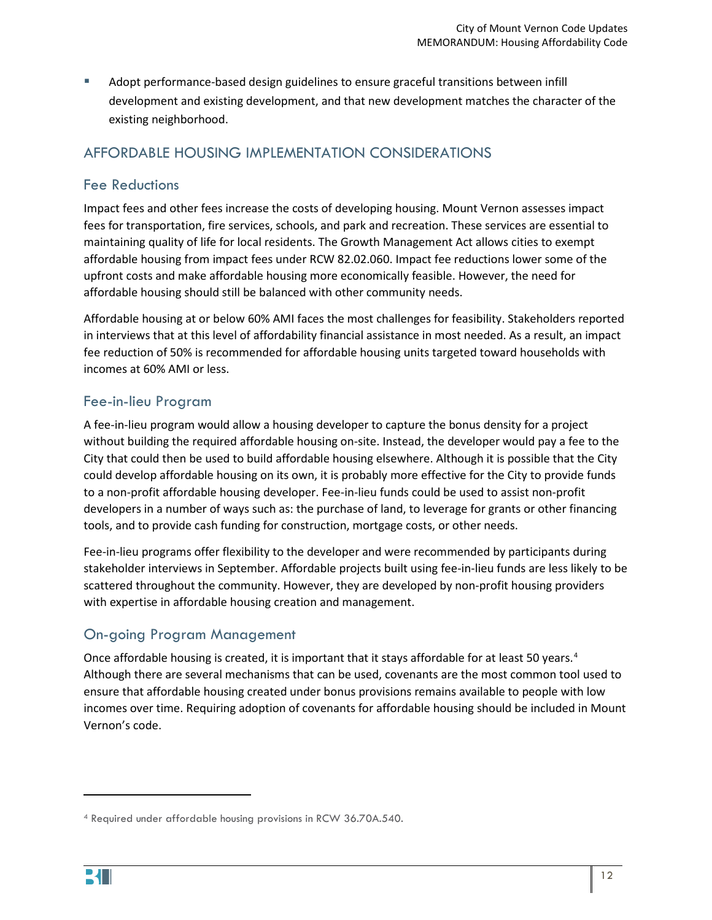Adopt performance-based design guidelines to ensure graceful transitions between infill development and existing development, and that new development matches the character of the existing neighborhood.

## AFFORDABLE HOUSING IMPLEMENTATION CONSIDERATIONS

## Fee Reductions

Impact fees and other fees increase the costs of developing housing. Mount Vernon assesses impact fees for transportation, fire services, schools, and park and recreation. These services are essential to maintaining quality of life for local residents. The Growth Management Act allows cities to exempt affordable housing from impact fees under RCW 82.02.060. Impact fee reductions lower some of the upfront costs and make affordable housing more economically feasible. However, the need for affordable housing should still be balanced with other community needs.

Affordable housing at or below 60% AMI faces the most challenges for feasibility. Stakeholders reported in interviews that at this level of affordability financial assistance in most needed. As a result, an impact fee reduction of 50% is recommended for affordable housing units targeted toward households with incomes at 60% AMI or less.

## Fee-in-lieu Program

A fee-in-lieu program would allow a housing developer to capture the bonus density for a project without building the required affordable housing on-site. Instead, the developer would pay a fee to the City that could then be used to build affordable housing elsewhere. Although it is possible that the City could develop affordable housing on its own, it is probably more effective for the City to provide funds to a non-profit affordable housing developer. Fee-in-lieu funds could be used to assist non-profit developers in a number of ways such as: the purchase of land, to leverage for grants or other financing tools, and to provide cash funding for construction, mortgage costs, or other needs.

Fee-in-lieu programs offer flexibility to the developer and were recommended by participants during stakeholder interviews in September. Affordable projects built using fee-in-lieu funds are less likely to be scattered throughout the community. However, they are developed by non-profit housing providers with expertise in affordable housing creation and management.

## On-going Program Management

Once affordable housing is created, it is important that it stays affordable for at least 50 years.<sup>[4](#page-11-0)</sup> Although there are several mechanisms that can be used, covenants are the most common tool used to ensure that affordable housing created under bonus provisions remains available to people with low incomes over time. Requiring adoption of covenants for affordable housing should be included in Mount Vernon's code.

 $\overline{\phantom{a}}$ 

<span id="page-11-0"></span><sup>4</sup> Required under affordable housing provisions in RCW 36.70A.540.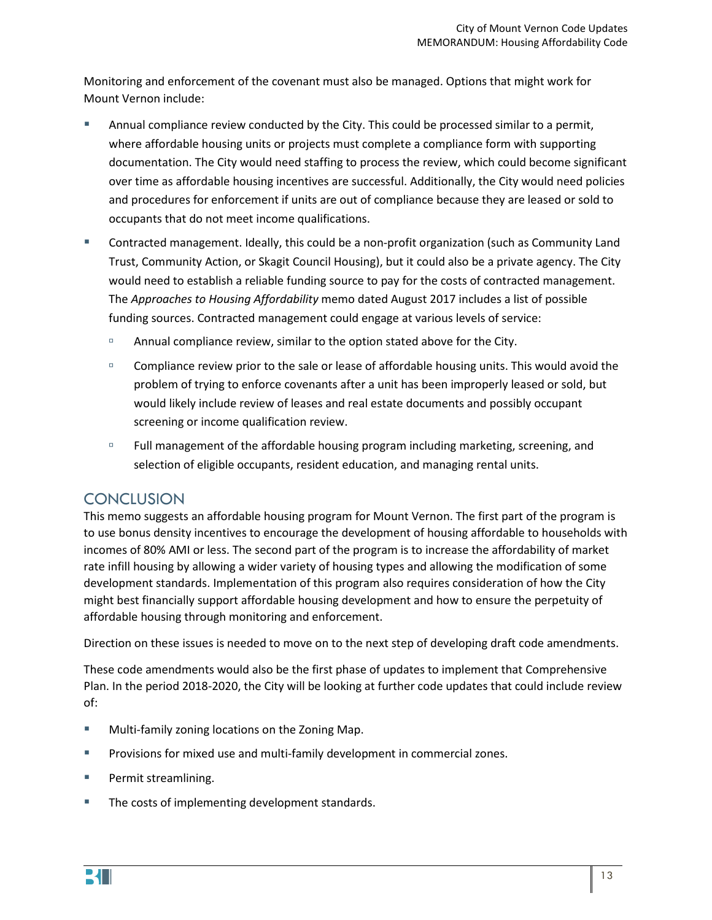Monitoring and enforcement of the covenant must also be managed. Options that might work for Mount Vernon include:

- Annual compliance review conducted by the City. This could be processed similar to a permit, where affordable housing units or projects must complete a compliance form with supporting documentation. The City would need staffing to process the review, which could become significant over time as affordable housing incentives are successful. Additionally, the City would need policies and procedures for enforcement if units are out of compliance because they are leased or sold to occupants that do not meet income qualifications.
- Contracted management. Ideally, this could be a non-profit organization (such as Community Land Trust, Community Action, or Skagit Council Housing), but it could also be a private agency. The City would need to establish a reliable funding source to pay for the costs of contracted management. The *Approaches to Housing Affordability* memo dated August 2017 includes a list of possible funding sources. Contracted management could engage at various levels of service:
	- <sup>n</sup> Annual compliance review, similar to the option stated above for the City.
	- <sup>n</sup> Compliance review prior to the sale or lease of affordable housing units. This would avoid the problem of trying to enforce covenants after a unit has been improperly leased or sold, but would likely include review of leases and real estate documents and possibly occupant screening or income qualification review.
	- **Full management of the affordable housing program including marketing, screening, and** selection of eligible occupants, resident education, and managing rental units.

## **CONCLUSION**

This memo suggests an affordable housing program for Mount Vernon. The first part of the program is to use bonus density incentives to encourage the development of housing affordable to households with incomes of 80% AMI or less. The second part of the program is to increase the affordability of market rate infill housing by allowing a wider variety of housing types and allowing the modification of some development standards. Implementation of this program also requires consideration of how the City might best financially support affordable housing development and how to ensure the perpetuity of affordable housing through monitoring and enforcement.

Direction on these issues is needed to move on to the next step of developing draft code amendments.

These code amendments would also be the first phase of updates to implement that Comprehensive Plan. In the period 2018-2020, the City will be looking at further code updates that could include review of:

- **Multi-family zoning locations on the Zoning Map.**
- **Provisions for mixed use and multi-family development in commercial zones.**
- **Permit streamlining.**
- **The costs of implementing development standards.**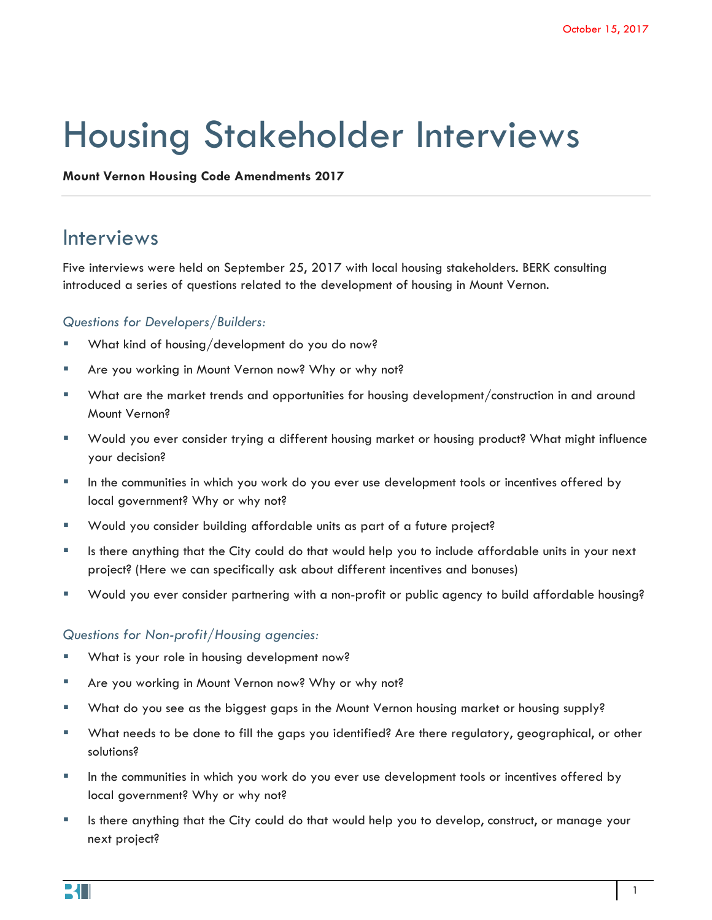# Housing Stakeholder Interviews

**Mount Vernon Housing Code Amendments 2017**

## Interviews

Five interviews were held on September 25, 2017 with local housing stakeholders. BERK consulting introduced a series of questions related to the development of housing in Mount Vernon.

#### *Questions for Developers/Builders:*

- What kind of housing/development do you do now?
- **Are you working in Mount Vernon now? Why or why not?**
- What are the market trends and opportunities for housing development/construction in and around Mount Vernon?
- Would you ever consider trying a different housing market or housing product? What might influence your decision?
- In the communities in which you work do you ever use development tools or incentives offered by local government? Why or why not?
- Would you consider building affordable units as part of a future project?
- Is there anything that the City could do that would help you to include affordable units in your next project? (Here we can specifically ask about different incentives and bonuses)
- Would you ever consider partnering with a non-profit or public agency to build affordable housing?

#### *Questions for Non-profit/Housing agencies:*

- What is your role in housing development now?
- Are you working in Mount Vernon now? Why or why not?
- What do you see as the biggest gaps in the Mount Vernon housing market or housing supply?
- What needs to be done to fill the gaps you identified? Are there regulatory, geographical, or other solutions?
- In the communities in which you work do you ever use development tools or incentives offered by local government? Why or why not?
- Is there anything that the City could do that would help you to develop, construct, or manage your next project?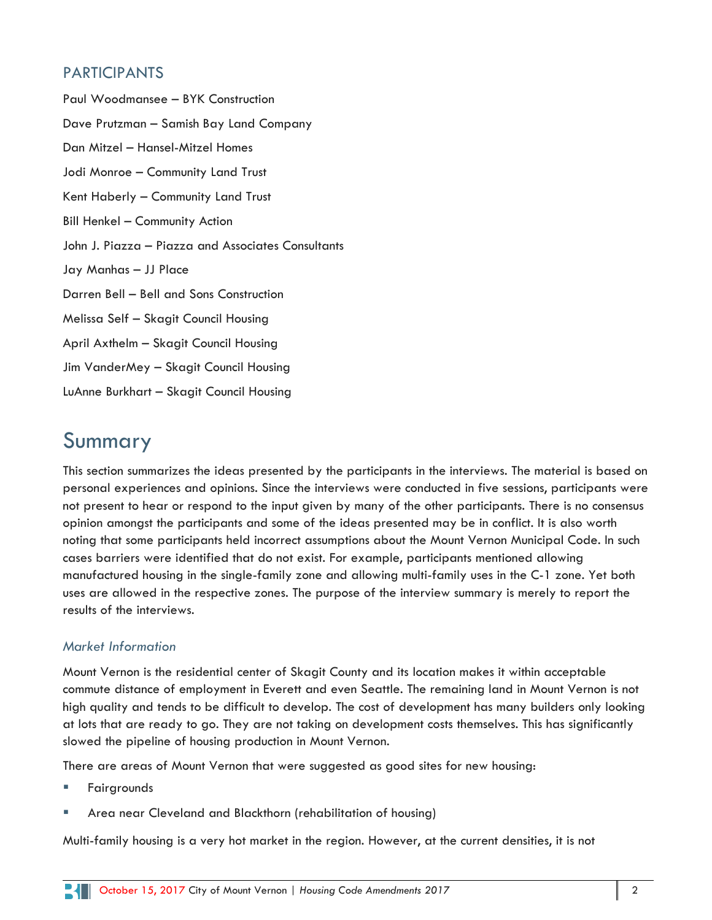## PARTICIPANTS

Paul Woodmansee – BYK Construction Dave Prutzman – Samish Bay Land Company Dan Mitzel – Hansel-Mitzel Homes Jodi Monroe – Community Land Trust Kent Haberly – Community Land Trust Bill Henkel – Community Action John J. Piazza – Piazza and Associates Consultants Jay Manhas – JJ Place Darren Bell – Bell and Sons Construction Melissa Self – Skagit Council Housing April Axthelm – Skagit Council Housing Jim VanderMey – Skagit Council Housing LuAnne Burkhart – Skagit Council Housing

# Summary

This section summarizes the ideas presented by the participants in the interviews. The material is based on personal experiences and opinions. Since the interviews were conducted in five sessions, participants were not present to hear or respond to the input given by many of the other participants. There is no consensus opinion amongst the participants and some of the ideas presented may be in conflict. It is also worth noting that some participants held incorrect assumptions about the Mount Vernon Municipal Code. In such cases barriers were identified that do not exist. For example, participants mentioned allowing manufactured housing in the single-family zone and allowing multi-family uses in the C-1 zone. Yet both uses are allowed in the respective zones. The purpose of the interview summary is merely to report the results of the interviews.

## *Market Information*

Mount Vernon is the residential center of Skagit County and its location makes it within acceptable commute distance of employment in Everett and even Seattle. The remaining land in Mount Vernon is not high quality and tends to be difficult to develop. The cost of development has many builders only looking at lots that are ready to go. They are not taking on development costs themselves. This has significantly slowed the pipeline of housing production in Mount Vernon.

There are areas of Mount Vernon that were suggested as good sites for new housing:

- Fairgrounds
- Area near Cleveland and Blackthorn (rehabilitation of housing)

Multi-family housing is a very hot market in the region. However, at the current densities, it is not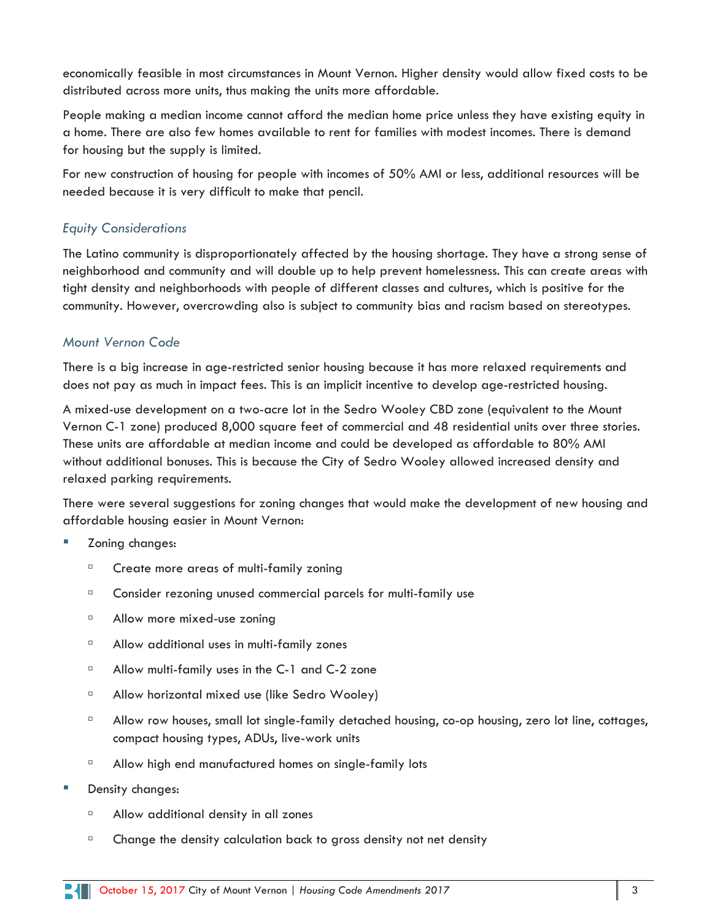economically feasible in most circumstances in Mount Vernon. Higher density would allow fixed costs to be distributed across more units, thus making the units more affordable.

People making a median income cannot afford the median home price unless they have existing equity in a home. There are also few homes available to rent for families with modest incomes. There is demand for housing but the supply is limited.

For new construction of housing for people with incomes of 50% AMI or less, additional resources will be needed because it is very difficult to make that pencil.

## *Equity Considerations*

The Latino community is disproportionately affected by the housing shortage. They have a strong sense of neighborhood and community and will double up to help prevent homelessness. This can create areas with tight density and neighborhoods with people of different classes and cultures, which is positive for the community. However, overcrowding also is subject to community bias and racism based on stereotypes.

## *Mount Vernon Code*

There is a big increase in age-restricted senior housing because it has more relaxed requirements and does not pay as much in impact fees. This is an implicit incentive to develop age-restricted housing.

A mixed-use development on a two-acre lot in the Sedro Wooley CBD zone (equivalent to the Mount Vernon C-1 zone) produced 8,000 square feet of commercial and 48 residential units over three stories. These units are affordable at median income and could be developed as affordable to 80% AMI without additional bonuses. This is because the City of Sedro Wooley allowed increased density and relaxed parking requirements.

There were several suggestions for zoning changes that would make the development of new housing and affordable housing easier in Mount Vernon:

- Zoning changes:
	- <sup>n</sup> Create more areas of multi-family zoning
	- □ Consider rezoning unused commercial parcels for multi-family use
	- Allow more mixed-use zoning
	- □ Allow additional uses in multi-family zones
	- <sup>n</sup> Allow multi-family uses in the C-1 and C-2 zone
	- □ Allow horizontal mixed use (like Sedro Wooley)
	- □ Allow row houses, small lot single-family detached housing, co-op housing, zero lot line, cottages, compact housing types, ADUs, live-work units
	- □ Allow high end manufactured homes on single-family lots
- Density changes:
	- Allow additional density in all zones
	- $\Box$  Change the density calculation back to gross density not net density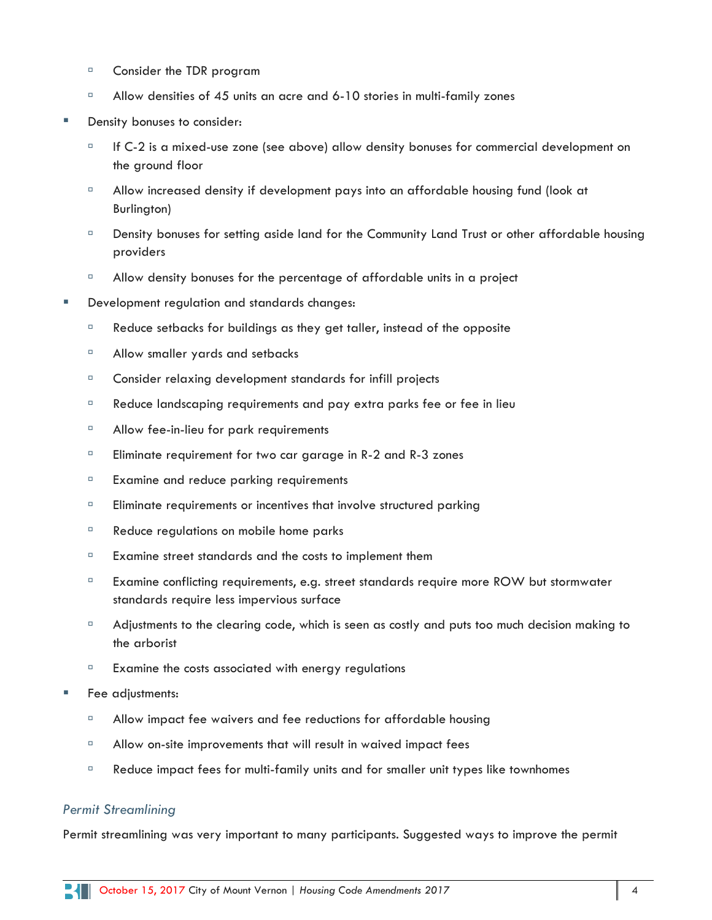- □ Consider the TDR program
- $\Box$  Allow densities of 45 units an acre and 6-10 stories in multi-family zones
- Density bonuses to consider:
	- $\Box$  If C-2 is a mixed-use zone (see above) allow density bonuses for commercial development on the ground floor
	- Allow increased density if development pays into an affordable housing fund (look at Burlington)
	- Density bonuses for setting aside land for the Community Land Trust or other affordable housing providers
	- $\Box$  Allow density bonuses for the percentage of affordable units in a project
- Development regulation and standards changes:
	- $\Box$  Reduce setbacks for buildings as they get taller, instead of the opposite
	- Allow smaller yards and setbacks
	- <sup>n</sup> Consider relaxing development standards for infill projects
	- <sup>n</sup> Reduce landscaping requirements and pay extra parks fee or fee in lieu
	- □ Allow fee-in-lieu for park requirements
	- $\Box$  Eliminate requirement for two car garage in R-2 and R-3 zones
	- <sup>□</sup> Examine and reduce parking requirements
	- $\Box$  Eliminate requirements or incentives that involve structured parking
	- <sup>n</sup> Reduce regulations on mobile home parks
	- **Examine street standards and the costs to implement them**
	- <sup>□</sup> Examine conflicting requirements, e.g. street standards require more ROW but stormwater standards require less impervious surface
	- $\Box$  Adjustments to the clearing code, which is seen as costly and puts too much decision making to the arborist
	- $E = Examine$  the costs associated with energy regulations
- Fee adjustments:
	- <sup>n</sup> Allow impact fee waivers and fee reductions for affordable housing
	- $\Box$  Allow on-site improvements that will result in waived impact fees
	- $\Box$  Reduce impact fees for multi-family units and for smaller unit types like townhomes

#### *Permit Streamlining*

Permit streamlining was very important to many participants. Suggested ways to improve the permit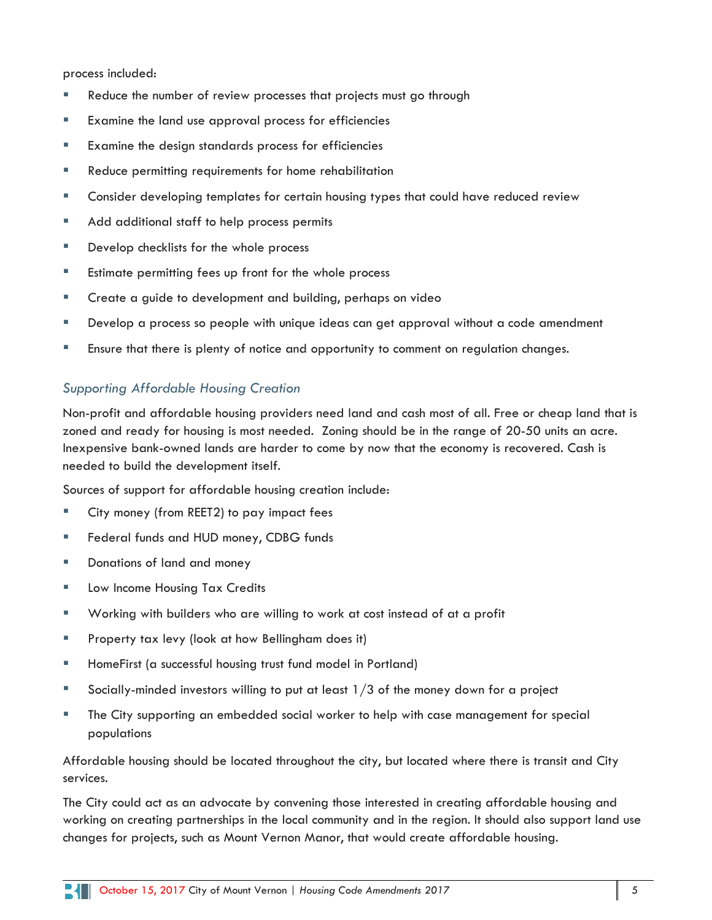process included:

- Reduce the number of review processes that projects must go through
- Examine the land use approval process for efficiencies
- Examine the design standards process for efficiencies
- Reduce permitting requirements for home rehabilitation
- Consider developing templates for certain housing types that could have reduced review
- **Add additional staff to help process permits**
- **Develop checklists for the whole process**
- Estimate permitting fees up front for the whole process
- **EXT** Create a guide to development and building, perhaps on video
- Develop a process so people with unique ideas can get approval without a code amendment
- **Ensure that there is plenty of notice and opportunity to comment on regulation changes.**

#### *Supporting Affordable Housing Creation*

Non-profit and affordable housing providers need land and cash most of all. Free or cheap land that is zoned and ready for housing is most needed. Zoning should be in the range of 20-50 units an acre. Inexpensive bank-owned lands are harder to come by now that the economy is recovered. Cash is needed to build the development itself.

Sources of support for affordable housing creation include:

- City money (from REET2) to pay impact fees
- Federal funds and HUD money, CDBG funds
- **Donations of land and money**
- **Low Income Housing Tax Credits**
- Working with builders who are willing to work at cost instead of at a profit
- **Property tax levy (look at how Bellingham does it)**
- **HomeFirst (a successful housing trust fund model in Portland)**
- Socially-minded investors willing to put at least  $1/3$  of the money down for a project
- The City supporting an embedded social worker to help with case management for special populations

Affordable housing should be located throughout the city, but located where there is transit and City services.

The City could act as an advocate by convening those interested in creating affordable housing and working on creating partnerships in the local community and in the region. It should also support land use changes for projects, such as Mount Vernon Manor, that would create affordable housing.